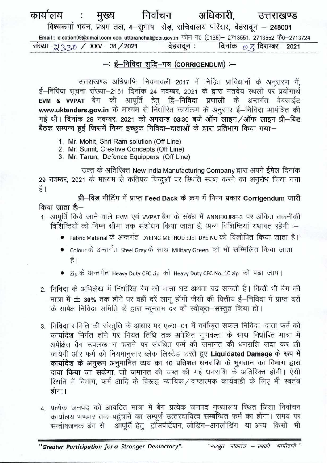## निर्वाचन कार्यालय अधिकारी. मुख्य उत्तराखण्ड विश्वकर्मा भवन, प्रथम तल, 4-सुभाष रोड़, सचिवालय परिसर, देहरादून - 248001 Email: election09@gmail.com ceo\_uttaranchal@eci.gov.in फोन न0 (0135)- 2713551, 2713552 फें0-2713724 संख्या-2220 / XXV -31/2021 देहरादून : दिनांक  $\mathcal{O}$  Z दिसम्बर, 2021

## $-$ : ई-निविदा शद्धि-पत्र (CORRIGENDUM) :-

उत्तराखण्ड अधिप्राप्ति नियमावली-2017 में निहित प्राविधानों के अनुसरण में, ई-निविदा सूचना संख्या-2161 दिनांक 24 नवम्बर, 2021 के द्वारा मतदेय स्थलों पर प्रयोगार्थ EVM & VVPAT बैग की आपूर्ति हेतु द्वि-निविदा प्रणाली के अन्तर्गत वेबसाईट www.uktenders.gov.in के माध्यम से निर्धारित कार्यक्रम के अनुसार ई-निविदा आमंत्रित की गई थी। दिनांक 29 नवम्बर, 2021 को अपरान्ह 03:30 बजे ऑन लाइन/ऑफ लाइन प्री-बिड बैठक सम्पन्न हुई जिसमें निम्न इच्छुक निविदा-दाताओं के द्वारा प्रतिभाग किया गया:-

- 1. Mr. Mohit, Shri Ram solution (Off Line)
- 2. Mr. Sumit, Creative Concepts (Off Line)
- 3. Mr. Tarun, Defence Equippers (Off Line)

उक्त के अतिरिक्त New India Manufacturing Company द्वारा अपने ईमेल दिनांक 29 नवम्बर, 2021 के माध्यम से कतिपय बिन्दुओं पर रिथति स्पष्ट करने का अनुरोध किया गया है।

प्री-बिड मीटिंग में प्राप्त Feed Back के क्रम में निम्न प्रकार Corrigendum जारी किया जाता है:—

- 1. आपूर्ति किये जाने वाले EVM एवं VVPAT बैग के संबंध में ANNEXURE-3 पर अंकित तकनीकी विशिष्टियों को निम्न सीमा तक संशोधन किया जाता है. अन्य विशिष्टियां यथावत रहेगी :-
	- Fabric Material के अन्तर्गत DYEING METHOD : JET DYEING को विलोपित किया जाता है।
	- Colour के अन्तर्गत Steel Gray के साथ Military Green को भी सम्मिलित किया जाता है ।
	- Zip के अन्तर्गत Heavy Duty CFC zip को Heavy Duty CFC No. 10 zip को पढ़ा जाय।
- 2. निविदा के अभिलेख में निर्धारित बैग की मात्रा घट अथवा बढ सकती है। किसी भी बैग की मात्रा में ± 30% तक होने पर वहीं दरें लागू होंगी जैसी की वित्तीय ई-निविदा में प्राप्त दरों के सापेक्ष निविदा समिति के द्वारा न्यूनत्तम दर को स्वीकृत-संस्तुत किया हो।
- 3. निविदा समिति की संस्तुति के आधार पर एल0-01 में वर्गीकृत सफल निविदा-दाता फर्म को कार्यादेश निर्गत होने पर नियत तिथि तक अपेक्षित गुणवत्ता के साथ निर्धारित मात्रा में अपेक्षित बैग उपलब्ध न कराने पर संबंधित फर्म की जमानत की धनराशि जब्त कर ली जायेगी और फर्म को नियमानुसार ब्लेक लिस्टेड करते हुए Liquidated Damage के रूप में कार्यादेश के अनुरूप अनुमानित व्यय का 10 प्रतिशत धनराशि के भुगतान का विभाग द्वारा दावा किया जा सकेगा, जो जमानत की जब्त की गई धनराशि के अतिरिक्त होगी। ऐसी स्थिति में विभाग, फर्म आदि के विरूद्ध न्यायिक / दण्डात्मक कार्यवाही के लिए भी स्वतंत्र होगा।
- 4. प्रत्येक जनपद को आवंटित मात्रा में बैंग प्रत्येक जनपद मुख्यालय स्थित जिला निर्वाचन कार्यालय भण्डार तक पहुंचाने का सम्पूर्ण उत्तरदायित्व सम्बन्धित फर्म का होगा। समय पर सन्तोषजनक ढंग से आपूर्ति हेतु ट्रॉसपोर्टेशन, लोडिंग-अनलोडिंग या अन्य किसी भी

"Greater Participation for a Stronger Democracy".